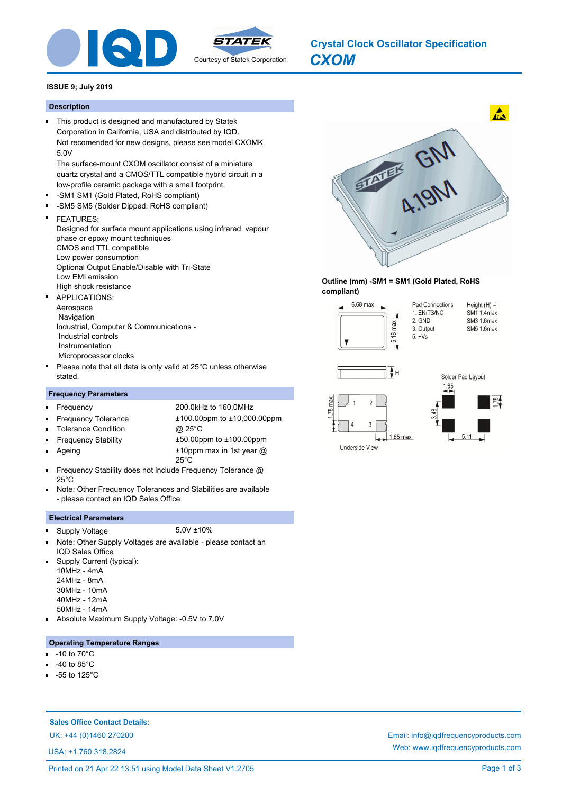

# *CXOM* **Crystal Clock Oscillator Specification**

### **ISSUE 9; July 2019**

### **Description**

This product is designed and manufactured by Statek Corporation in California, USA and distributed by IQD. Not recomended for new designs, please see model CXOMK 5.0V

The surface-mount CXOM oscillator consist of a miniature quartz crystal and a CMOS/TTL compatible hybrid circuit in a low-profile ceramic package with a small footprint.

- -SM1 SM1 (Gold Plated, RoHS compliant)  $\blacksquare$
- $\blacksquare$ -SM5 SM5 (Solder Dipped, RoHS compliant)

#### $\blacksquare$ FEATURES:

Designed for surface mount applications using infrared, vapour phase or epoxy mount techniques CMOS and TTL compatible Low power consumption Optional Output Enable/Disable with Tri-State Low EMI emission High shock resistance APPLICATIONS:  $\blacksquare$ 

Aerospace

 Navigation Industrial, Computer & Communications - Industrial controls Instrumentation Microprocessor clocks

Please note that all data is only valid at 25°C unless otherwise stated.

### **Frequency Parameters**

 $\blacksquare$ 

п

- Frequency 200.0kHz to 160.0MHz
- $\blacksquare$ Tolerance Condition @ 25°C  $\blacksquare$
- Frequency Tolerance ±100.00ppm to ±10,000.00ppm
- $\blacksquare$
- 
- Ageing
- Frequency Stability ±50.00ppm to ±100.00ppm ±10ppm max in 1st year @ 25°C
- Frequency Stability does not include Frequency Tolerance @ 25°C
- Note: Other Frequency Tolerances and Stabilities are available  $\blacksquare$ - please contact an IQD Sales Office

### **Electrical Parameters**

- Supply Voltage 5.0V ±10%  $\blacksquare$ Note: Other Supply Voltages are available - please contact an
- IQD Sales Office Supply Current (typical):
- 10MHz 4mA
- 24MHz 8mA
- 30MHz 10mA
- 40MHz 12mA
- 50MHz 14mA
- Absolute Maximum Supply Voltage: -0.5V to 7.0V

### **Operating Temperature Ranges**

- -10 to 70°C
- -40 to 85°C
- -55 to 125°C

**Sales Office Contact Details:**

USA: +1.760.318.2824



### **Outline (mm) -SM1 = SM1 (Gold Plated, RoHS compliant)**





## UK: +44 (0)1460 270200 Email: info@iqdfrequencyproducts.com Web: www.iqdfrequencyproducts.com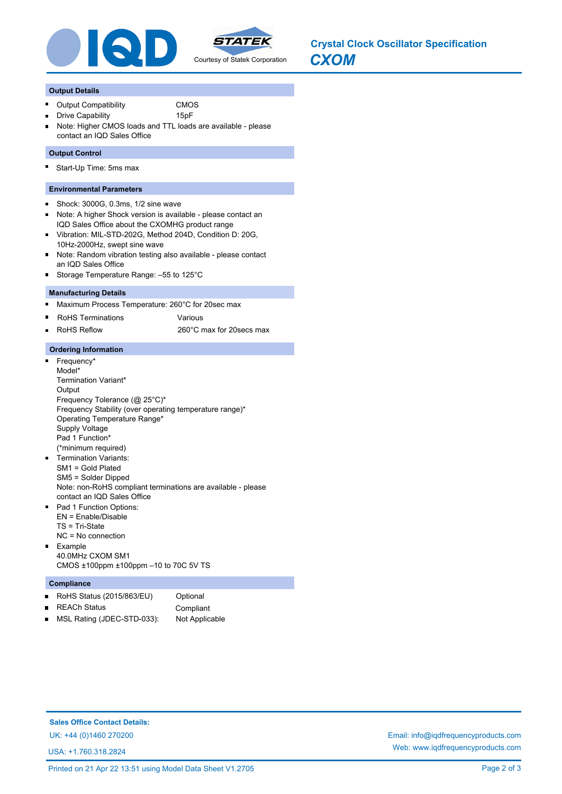

### **Output Details**

O,

- Output Compatibility **CMOS** 
	- Drive Capability 15pF
- Note: Higher CMOS loads and TTL loads are available please contact an IQD Sales Office

### **Output Control**

Start-Up Time: 5ms max

### **Environmental Parameters**

- Shock: 3000G, 0.3ms, 1/2 sine wave  $\blacksquare$
- Note: A higher Shock version is available please contact an  $\blacksquare$ IQD Sales Office about the CXOMHG product range
- Vibration: MIL-STD-202G, Method 204D, Condition D: 20G,  $\blacksquare$ 10Hz-2000Hz, swept sine wave
- Note: Random vibration testing also available please contact  $\blacksquare$ an IQD Sales Office
- Storage Temperature Range: –55 to 125°C

### **Manufacturing Details**

- $\blacksquare$ Maximum Process Temperature: 260°C for 20sec max
- RoHS Terminations **Various**
- RoHS Reflow 260°C max for 20secs max Ē.

### **Ordering Information**

- $\blacksquare$ Frequency\* Model\* Termination Variant\* **Output** Frequency Tolerance (@ 25°C)\* Frequency Stability (over operating temperature range)\* Operating Temperature Range\* Supply Voltage Pad 1 Function\* (\*minimum required) Termination Variants: SM1 = Gold Plated SM5 = Solder Dipped Note: non-RoHS compliant terminations are available - please contact an IQD Sales Office
- Pad 1 Function Options:  $\blacksquare$ EN = Enable/Disable TS = Tri-State NC = No connection Example  $\blacksquare$
- 40.0MHz CXOM SM1 CMOS ±100ppm ±100ppm –10 to 70C 5V TS

### **Compliance**

- RoHS Status (2015/863/EU) Optional  $\blacksquare$ REACh Status Compliant
- MSL Rating (JDEC-STD-033): Not Applicable  $\blacksquare$

**Sales Office Contact Details:**

USA: +1.760.318.2824

UK: +44 (0)1460 270200 Email: info@iqdfrequencyproducts.com Web: www.iqdfrequencyproducts.com